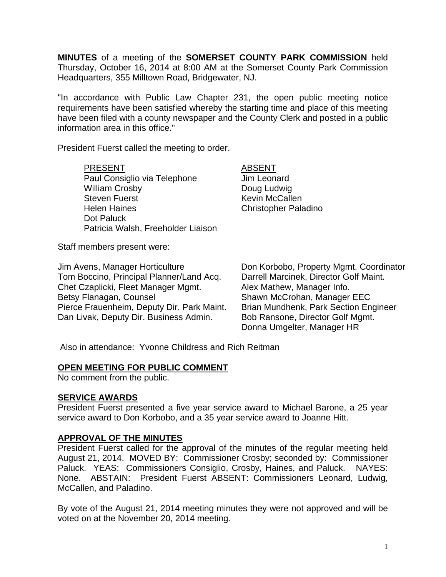**MINUTES** of a meeting of the **SOMERSET COUNTY PARK COMMISSION** held Thursday, October 16, 2014 at 8:00 AM at the Somerset County Park Commission Headquarters, 355 Milltown Road, Bridgewater, NJ.

"In accordance with Public Law Chapter 231, the open public meeting notice requirements have been satisfied whereby the starting time and place of this meeting have been filed with a county newspaper and the County Clerk and posted in a public information area in this office."

President Fuerst called the meeting to order.

#### PRESENT ABSENT

Paul Consiglio via Telephone Jim Leonard William Crosby **Doug Ludwig** Steven Fuerst **Kevin McCallen** Helen Haines Christopher Paladino Dot Paluck Patricia Walsh, Freeholder Liaison

Staff members present were:

Jim Avens, Manager Horticulture Don Korbobo, Property Mgmt. Coordinator Tom Boccino, Principal Planner/Land Acq. Chet Czaplicki, Fleet Manager Mgmt. Alex Mathew, Manager Info. Betsy Flanagan, Counsel Shawn McCrohan, Manager EEC Pierce Frauenheim, Deputy Dir. Park Maint. Brian Mundhenk, Park Section Engineer Dan Livak, Deputy Dir. Business Admin. Bob Ransone, Director Golf Mgmt.

Donna Umgelter, Manager HR

Also in attendance: Yvonne Childress and Rich Reitman

### **OPEN MEETING FOR PUBLIC COMMENT**

No comment from the public.

### **SERVICE AWARDS**

President Fuerst presented a five year service award to Michael Barone, a 25 year service award to Don Korbobo, and a 35 year service award to Joanne Hitt.

### **APPROVAL OF THE MINUTES**

President Fuerst called for the approval of the minutes of the regular meeting held August 21, 2014. MOVED BY: Commissioner Crosby; seconded by: Commissioner Paluck. YEAS: Commissioners Consiglio, Crosby, Haines, and Paluck. NAYES: None. ABSTAIN: President Fuerst ABSENT: Commissioners Leonard, Ludwig, McCallen, and Paladino.

By vote of the August 21, 2014 meeting minutes they were not approved and will be voted on at the November 20, 2014 meeting.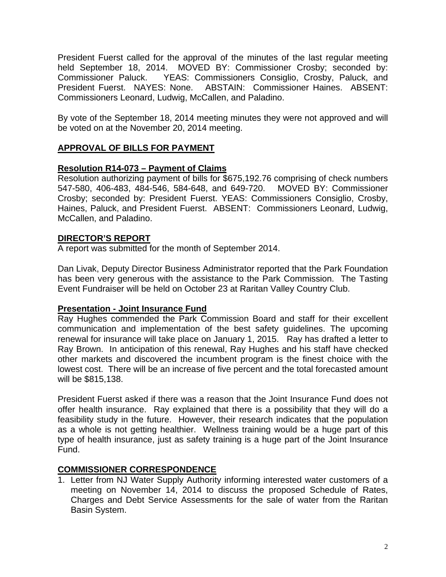President Fuerst called for the approval of the minutes of the last regular meeting held September 18, 2014. MOVED BY: Commissioner Crosby; seconded by: Commissioner Paluck. YEAS: Commissioners Consiglio, Crosby, Paluck, and President Fuerst. NAYES: None. ABSTAIN: Commissioner Haines. ABSENT: Commissioners Leonard, Ludwig, McCallen, and Paladino.

By vote of the September 18, 2014 meeting minutes they were not approved and will be voted on at the November 20, 2014 meeting.

# **APPROVAL OF BILLS FOR PAYMENT**

## **Resolution R14-073 – Payment of Claims**

Resolution authorizing payment of bills for \$675,192.76 comprising of check numbers 547-580, 406-483, 484-546, 584-648, and 649-720. MOVED BY: Commissioner Crosby; seconded by: President Fuerst. YEAS: Commissioners Consiglio, Crosby, Haines, Paluck, and President Fuerst. ABSENT: Commissioners Leonard, Ludwig, McCallen, and Paladino.

### **DIRECTOR'S REPORT**

A report was submitted for the month of September 2014.

Dan Livak, Deputy Director Business Administrator reported that the Park Foundation has been very generous with the assistance to the Park Commission. The Tasting Event Fundraiser will be held on October 23 at Raritan Valley Country Club.

### **Presentation - Joint Insurance Fund**

Ray Hughes commended the Park Commission Board and staff for their excellent communication and implementation of the best safety guidelines. The upcoming renewal for insurance will take place on January 1, 2015. Ray has drafted a letter to Ray Brown. In anticipation of this renewal, Ray Hughes and his staff have checked other markets and discovered the incumbent program is the finest choice with the lowest cost. There will be an increase of five percent and the total forecasted amount will be \$815,138.

President Fuerst asked if there was a reason that the Joint Insurance Fund does not offer health insurance. Ray explained that there is a possibility that they will do a feasibility study in the future. However, their research indicates that the population as a whole is not getting healthier. Wellness training would be a huge part of this type of health insurance, just as safety training is a huge part of the Joint Insurance Fund.

## **COMMISSIONER CORRESPONDENCE**

1. Letter from NJ Water Supply Authority informing interested water customers of a meeting on November 14, 2014 to discuss the proposed Schedule of Rates, Charges and Debt Service Assessments for the sale of water from the Raritan Basin System.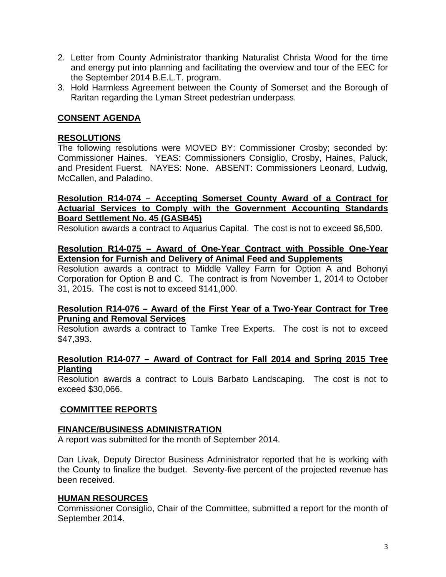- 2. Letter from County Administrator thanking Naturalist Christa Wood for the time and energy put into planning and facilitating the overview and tour of the EEC for the September 2014 B.E.L.T. program.
- 3. Hold Harmless Agreement between the County of Somerset and the Borough of Raritan regarding the Lyman Street pedestrian underpass.

# **CONSENT AGENDA**

### **RESOLUTIONS**

The following resolutions were MOVED BY: Commissioner Crosby; seconded by: Commissioner Haines. YEAS: Commissioners Consiglio, Crosby, Haines, Paluck, and President Fuerst. NAYES: None. ABSENT: Commissioners Leonard, Ludwig, McCallen, and Paladino.

### **Resolution R14-074 – Accepting Somerset County Award of a Contract for Actuarial Services to Comply with the Government Accounting Standards Board Settlement No. 45 (GASB45)**

Resolution awards a contract to Aquarius Capital. The cost is not to exceed \$6,500.

### **Resolution R14-075 – Award of One-Year Contract with Possible One-Year Extension for Furnish and Delivery of Animal Feed and Supplements**

Resolution awards a contract to Middle Valley Farm for Option A and Bohonyi Corporation for Option B and C. The contract is from November 1, 2014 to October 31, 2015. The cost is not to exceed \$141,000.

### **Resolution R14-076 – Award of the First Year of a Two-Year Contract for Tree Pruning and Removal Services**

Resolution awards a contract to Tamke Tree Experts. The cost is not to exceed \$47,393.

#### **Resolution R14-077 – Award of Contract for Fall 2014 and Spring 2015 Tree Planting**

Resolution awards a contract to Louis Barbato Landscaping. The cost is not to exceed \$30,066.

### **COMMITTEE REPORTS**

### **FINANCE/BUSINESS ADMINISTRATION**

A report was submitted for the month of September 2014.

Dan Livak, Deputy Director Business Administrator reported that he is working with the County to finalize the budget. Seventy-five percent of the projected revenue has been received.

### **HUMAN RESOURCES**

Commissioner Consiglio, Chair of the Committee, submitted a report for the month of September 2014.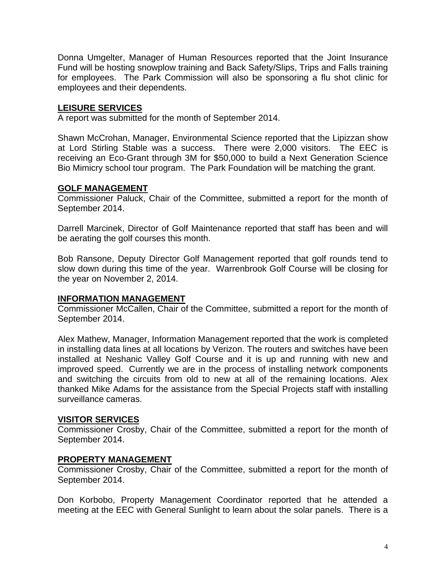Donna Umgelter, Manager of Human Resources reported that the Joint Insurance Fund will be hosting snowplow training and Back Safety/Slips, Trips and Falls training for employees. The Park Commission will also be sponsoring a flu shot clinic for employees and their dependents.

## **LEISURE SERVICES**

A report was submitted for the month of September 2014.

Shawn McCrohan, Manager, Environmental Science reported that the Lipizzan show at Lord Stirling Stable was a success. There were 2,000 visitors. The EEC is receiving an Eco-Grant through 3M for \$50,000 to build a Next Generation Science Bio Mimicry school tour program. The Park Foundation will be matching the grant.

### **GOLF MANAGEMENT**

Commissioner Paluck, Chair of the Committee, submitted a report for the month of September 2014.

Darrell Marcinek, Director of Golf Maintenance reported that staff has been and will be aerating the golf courses this month.

Bob Ransone, Deputy Director Golf Management reported that golf rounds tend to slow down during this time of the year. Warrenbrook Golf Course will be closing for the year on November 2, 2014.

### **INFORMATION MANAGEMENT**

Commissioner McCallen, Chair of the Committee, submitted a report for the month of September 2014.

Alex Mathew, Manager, Information Management reported that the work is completed in installing data lines at all locations by Verizon. The routers and switches have been installed at Neshanic Valley Golf Course and it is up and running with new and improved speed. Currently we are in the process of installing network components and switching the circuits from old to new at all of the remaining locations. Alex thanked Mike Adams for the assistance from the Special Projects staff with installing surveillance cameras.

### **VISITOR SERVICES**

Commissioner Crosby, Chair of the Committee, submitted a report for the month of September 2014.

### **PROPERTY MANAGEMENT**

Commissioner Crosby, Chair of the Committee, submitted a report for the month of September 2014.

Don Korbobo, Property Management Coordinator reported that he attended a meeting at the EEC with General Sunlight to learn about the solar panels. There is a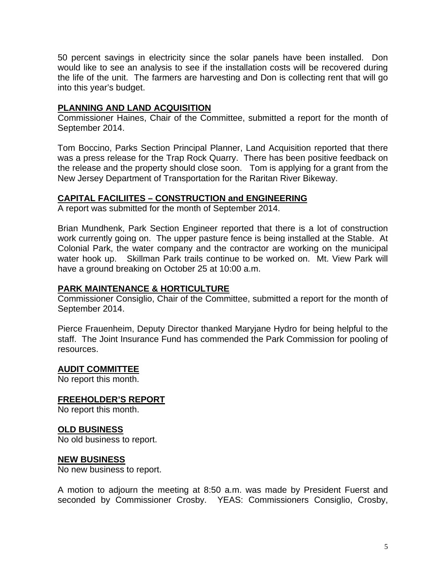50 percent savings in electricity since the solar panels have been installed. Don would like to see an analysis to see if the installation costs will be recovered during the life of the unit. The farmers are harvesting and Don is collecting rent that will go into this year's budget.

### **PLANNING AND LAND ACQUISITION**

Commissioner Haines, Chair of the Committee, submitted a report for the month of September 2014.

Tom Boccino, Parks Section Principal Planner, Land Acquisition reported that there was a press release for the Trap Rock Quarry. There has been positive feedback on the release and the property should close soon. Tom is applying for a grant from the New Jersey Department of Transportation for the Raritan River Bikeway.

## **CAPITAL FACILIITES – CONSTRUCTION and ENGINEERING**

A report was submitted for the month of September 2014.

Brian Mundhenk, Park Section Engineer reported that there is a lot of construction work currently going on. The upper pasture fence is being installed at the Stable. At Colonial Park, the water company and the contractor are working on the municipal water hook up. Skillman Park trails continue to be worked on. Mt. View Park will have a ground breaking on October 25 at 10:00 a.m.

### **PARK MAINTENANCE & HORTICULTURE**

Commissioner Consiglio, Chair of the Committee, submitted a report for the month of September 2014.

Pierce Frauenheim, Deputy Director thanked Maryjane Hydro for being helpful to the staff. The Joint Insurance Fund has commended the Park Commission for pooling of resources.

### **AUDIT COMMITTEE**

No report this month.

#### **FREEHOLDER'S REPORT**

No report this month.

#### **OLD BUSINESS**

No old business to report.

### **NEW BUSINESS**

No new business to report.

A motion to adjourn the meeting at 8:50 a.m. was made by President Fuerst and seconded by Commissioner Crosby. YEAS: Commissioners Consiglio, Crosby,